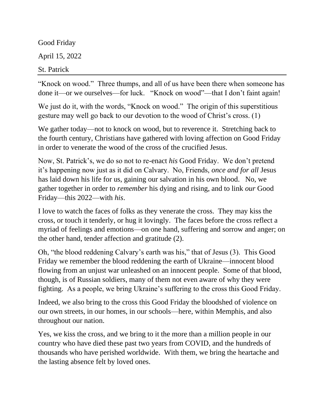Good Friday April 15, 2022 St. Patrick

"Knock on wood." Three thumps, and all of us have been there when someone has done it—or we ourselves—for luck. "Knock on wood"—that I don't faint again!

We just do it, with the words, "Knock on wood." The origin of this superstitious gesture may well go back to our devotion to the wood of Christ's cross. (1)

We gather today—not to knock on wood, but to reverence it. Stretching back to the fourth century, Christians have gathered with loving affection on Good Friday in order to venerate the wood of the cross of the crucified Jesus.

Now, St. Patrick's, we do so not to re-enact *his* Good Friday. We don't pretend it's happening now just as it did on Calvary. No, Friends, *once and for all* Jesus has laid down his life for us, gaining our salvation in his own blood. No, we gather together in order to *remember* his dying and rising, and to link *our* Good Friday—this 2022—with *his*.

I love to watch the faces of folks as they venerate the cross. They may kiss the cross, or touch it tenderly, or hug it lovingly. The faces before the cross reflect a myriad of feelings and emotions—on one hand, suffering and sorrow and anger; on the other hand, tender affection and gratitude (2).

Oh, "the blood reddening Calvary's earth was his," that of Jesus (3). This Good Friday we remember the blood reddening the earth of Ukraine—innocent blood flowing from an unjust war unleashed on an innocent people. Some of that blood, though, is of Russian soldiers, many of them not even aware of why they were fighting. As a people, we bring Ukraine's suffering to the cross this Good Friday.

Indeed, we also bring to the cross this Good Friday the bloodshed of violence on our own streets, in our homes, in our schools—here, within Memphis, and also throughout our nation.

Yes, we kiss the cross, and we bring to it the more than a million people in our country who have died these past two years from COVID, and the hundreds of thousands who have perished worldwide. With them, we bring the heartache and the lasting absence felt by loved ones.